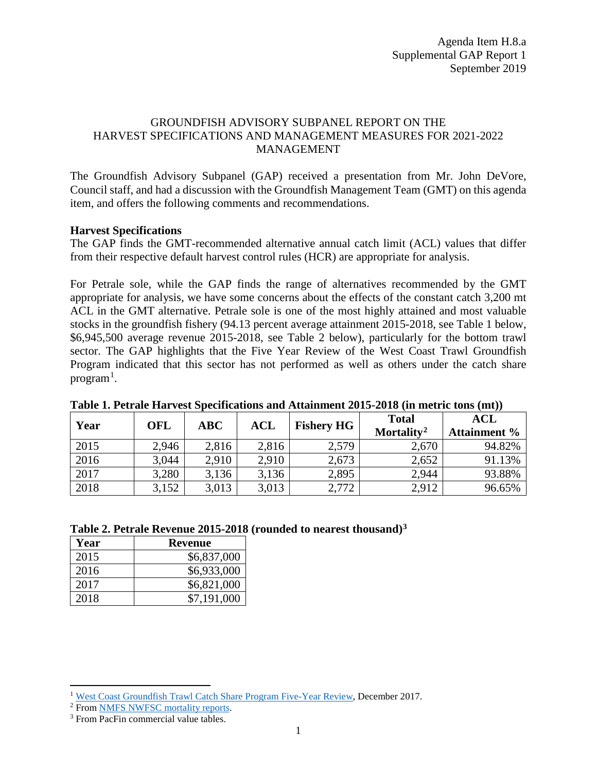## GROUNDFISH ADVISORY SUBPANEL REPORT ON THE HARVEST SPECIFICATIONS AND MANAGEMENT MEASURES FOR 2021-2022 MANAGEMENT

The Groundfish Advisory Subpanel (GAP) received a presentation from Mr. John DeVore, Council staff, and had a discussion with the Groundfish Management Team (GMT) on this agenda item, and offers the following comments and recommendations.

### **Harvest Specifications**

The GAP finds the GMT-recommended alternative annual catch limit (ACL) values that differ from their respective default harvest control rules (HCR) are appropriate for analysis.

For Petrale sole, while the GAP finds the range of alternatives recommended by the GMT appropriate for analysis, we have some concerns about the effects of the constant catch 3,200 mt ACL in the GMT alternative. Petrale sole is one of the most highly attained and most valuable stocks in the groundfish fishery (94.13 percent average attainment 2015-2018, see Table 1 below, \$6,945,500 average revenue 2015-2018, see Table 2 below), particularly for the bottom trawl sector. The GAP highlights that the Five Year Review of the West Coast Trawl Groundfish Program indicated that this sector has not performed as well as others under the catch share program<sup>[1](#page-0-0)</sup>.

| Year | OFL   | ABC   | <b>ACL</b> | <b>Fishery HG</b> | <b>Total</b><br>Mortality <sup>2</sup> | <b>ACL</b><br><b>Attainment %</b> |
|------|-------|-------|------------|-------------------|----------------------------------------|-----------------------------------|
| 2015 | 2,946 | 2,816 | 2,816      | 2,579             | 2,670                                  | 94.82%                            |
| 2016 | 3,044 | 2,910 | 2,910      | 2,673             | 2,652                                  | 91.13%                            |
| 2017 | 3,280 | 3,136 | 3,136      | 2,895             | 2,944                                  | 93.88%                            |
| 2018 | 3,152 | 3,013 | 3,013      | 2,772             | 2,912                                  | 96.65%                            |

#### **Table 1. Petrale Harvest Specifications and Attainment 2015-2018 (in metric tons (mt))**

#### **Table 2. Petrale Revenue 2015-2018 (rounded to nearest thousand)[3](#page-0-2)**

| Year | Revenue     |
|------|-------------|
| 2015 | \$6,837,000 |
| 2016 | \$6,933,000 |
| 2017 | \$6,821,000 |
| 2018 | \$7,191,000 |

l

<span id="page-0-0"></span><sup>&</sup>lt;sup>1</sup> [West Coast Groundfish Trawl Catch Share Program Five-Year Review,](https://www.pcouncil.org/wp-content/uploads/2018/12/Trawl_CSR_2017_MainDoc_Final.pdf) December 2017.<br><sup>2</sup> From [NMFS NWFSC mortality reports.](https://www.nwfsc.noaa.gov/research/divisions/fram/observation/data_products/species_management.cfm)

<span id="page-0-2"></span><span id="page-0-1"></span><sup>&</sup>lt;sup>3</sup> From PacFin commercial value tables.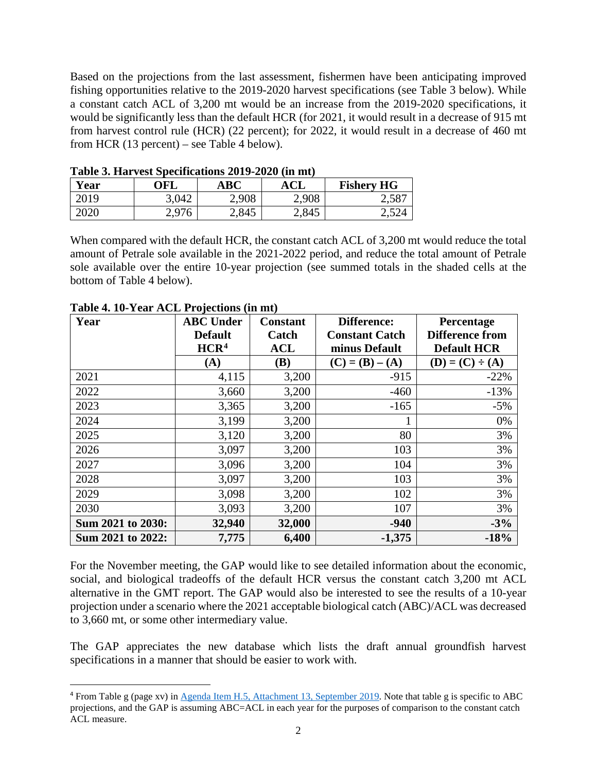Based on the projections from the last assessment, fishermen have been anticipating improved fishing opportunities relative to the 2019-2020 harvest specifications (see Table 3 below). While a constant catch ACL of 3,200 mt would be an increase from the 2019-2020 specifications, it would be significantly less than the default HCR (for 2021, it would result in a decrease of 915 mt from harvest control rule (HCR) (22 percent); for 2022, it would result in a decrease of 460 mt from HCR (13 percent) – see Table 4 below).

| Table of that vest specifications $2012$ $2020$ (in the) |       |       |       |                   |  |  |
|----------------------------------------------------------|-------|-------|-------|-------------------|--|--|
| Year                                                     | OFL   | ABC   | ACL   | <b>Fishery HG</b> |  |  |
| 2019                                                     | 3,042 | 2,908 | 2,908 | 2,587             |  |  |
| 2020                                                     | 2,976 | 2,845 | 2,845 | 2,524             |  |  |

**Table 3. Harvest Specifications 2019-2020 (in mt)**

When compared with the default HCR, the constant catch ACL of 3,200 mt would reduce the total amount of Petrale sole available in the 2021-2022 period, and reduce the total amount of Petrale sole available over the entire 10-year projection (see summed totals in the shaded cells at the bottom of Table 4 below).

| Year              | <b>ABC Under</b> | <b>Constant</b> | <b>Difference:</b>    | Percentage             |
|-------------------|------------------|-----------------|-----------------------|------------------------|
|                   | <b>Default</b>   | Catch           | <b>Constant Catch</b> | <b>Difference from</b> |
|                   | HCR <sup>4</sup> | <b>ACL</b>      | minus Default         | <b>Default HCR</b>     |
|                   | (A)              | (B)             | $(C) = (B) - (A)$     | $(D) = (C) \div (A)$   |
| 2021              | 4,115            | 3,200           | $-915$                | $-22%$                 |
| 2022              | 3,660            | 3,200           | $-460$                | $-13%$                 |
| 2023              | 3,365            | 3,200           | $-165$                | $-5%$                  |
| 2024              | 3,199            | 3,200           |                       | 0%                     |
| 2025              | 3,120            | 3,200           | 80                    | 3%                     |
| 2026              | 3,097            | 3,200           | 103                   | 3%                     |
| 2027              | 3,096            | 3,200           | 104                   | 3%                     |
| 2028              | 3,097            | 3,200           | 103                   | 3%                     |
| 2029              | 3,098            | 3,200           | 102                   | 3%                     |
| 2030              | 3,093            | 3,200           | 107                   | 3%                     |
| Sum 2021 to 2030: | 32,940           | 32,000          | $-940$                | $-3%$                  |
| Sum 2021 to 2022: | 7,775            | 6,400           | $-1,375$              | $-18%$                 |

**Table 4. 10-Year ACL Projections (in mt)**

For the November meeting, the GAP would like to see detailed information about the economic, social, and biological tradeoffs of the default HCR versus the constant catch 3,200 mt ACL alternative in the GMT report. The GAP would also be interested to see the results of a 10-year projection under a scenario where the 2021 acceptable biological catch (ABC)/ACL was decreased to 3,660 mt, or some other intermediary value.

The GAP appreciates the new database which lists the draft annual groundfish harvest specifications in a manner that should be easier to work with.

<span id="page-1-0"></span><sup>&</sup>lt;sup>4</sup> From Table g (page xv) in [Agenda Item H.5, Attachment 13, September 2019.](https://www.pcouncil.org/wp-content/uploads/2019/08/H5_Att13_Petrale_2019_Update_Full_E-Only_SEPT2019BB.pdf) Note that table g is specific to ABC projections, and the GAP is assuming ABC=ACL in each year for the purposes of comparison to the constant catch ACL measure.